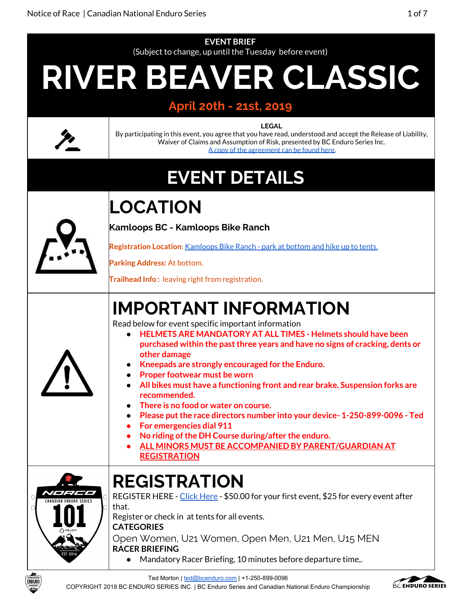

Ted Morton | [ted@bcenduro.com](mailto:ted@bcenduro.com) | +1-250-899-0096

COPYRIGHT 2018 BC ENDURO SERIES INC. | BC Enduro Series and Canadian National Enduro Championship

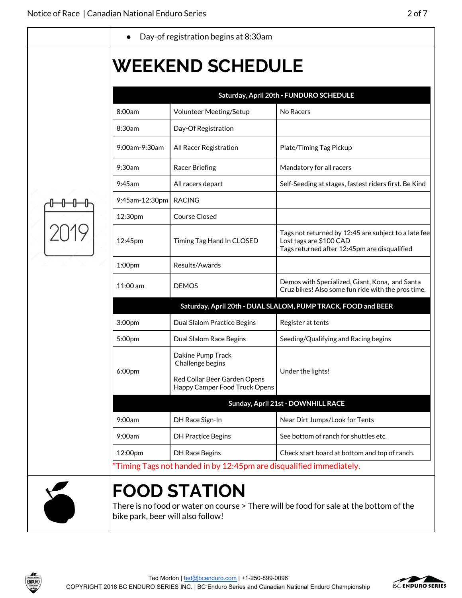|                | <b>WEEKEND SCHEDULE</b>                                               |                                                                                                                                 |
|----------------|-----------------------------------------------------------------------|---------------------------------------------------------------------------------------------------------------------------------|
|                |                                                                       | Saturday, April 20th - FUNDURO SCHEDULE                                                                                         |
| 8:00am         | Volunteer Meeting/Setup                                               | No Racers                                                                                                                       |
| 8:30am         | Day-Of Registration                                                   |                                                                                                                                 |
| 9:00am-9:30am  | All Racer Registration                                                | Plate/Timing Tag Pickup                                                                                                         |
| 9:30am         | Racer Briefing                                                        | Mandatory for all racers                                                                                                        |
| $9:45$ am      | All racers depart                                                     | Self-Seeding at stages, fastest riders first. Be Kind                                                                           |
| 9:45am-12:30pm | <b>RACING</b>                                                         |                                                                                                                                 |
| 12:30pm        | <b>Course Closed</b>                                                  |                                                                                                                                 |
| 12:45pm        | Timing Tag Hand In CLOSED                                             | Tags not returned by 12:45 are subject to a late fee<br>Lost tags are \$100 CAD<br>Tags returned after 12:45pm are disqualified |
| 1:00pm         | Results/Awards                                                        |                                                                                                                                 |
| 11:00 am       | <b>DEMOS</b>                                                          | Demos with Specialized, Giant, Kona, and Santa<br>Cruz bikes! Also some fun ride with the pros time.                            |
|                |                                                                       | Saturday, April 20th - DUAL SLALOM, PUMP TRACK, FOOD and BEER                                                                   |
| 3:00pm         | Dual Slalom Practice Begins                                           | Register at tents                                                                                                               |
| 5:00pm         | Dual Slalom Race Begins                                               | Seeding/Qualifying and Racing begins                                                                                            |
| 6:00pm         | Dakine Pump Track<br>Challenge begins<br>Red Collar Beer Garden Opens | Under the lights!                                                                                                               |
|                | Happy Camper Food Truck Opens                                         |                                                                                                                                 |
|                |                                                                       | Sunday, April 21st - DOWNHILL RACE                                                                                              |
| 9:00am         | DH Race Sign-In                                                       | Near Dirt Jumps/Look for Tents                                                                                                  |
| 9:00am         | <b>DH Practice Begins</b>                                             | See bottom of ranch for shuttles etc.                                                                                           |
| 12:00pm        | <b>DH Race Begins</b>                                                 | Check start board at bottom and top of ranch.                                                                                   |
|                | *Timing Tags not handed in by 12:45pm are disqualified immediately.   |                                                                                                                                 |



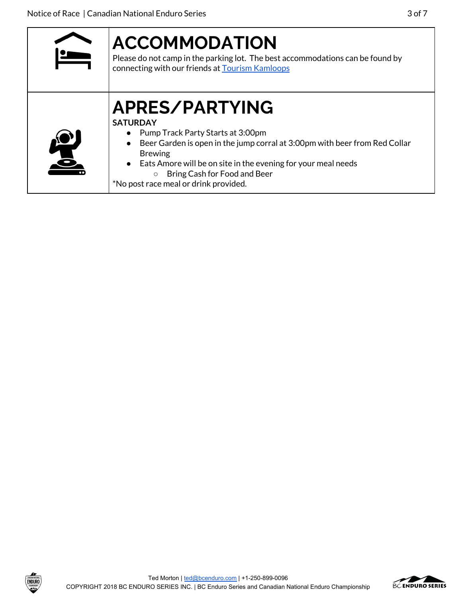| <b>ACCOMMODATION</b><br>Please do not camp in the parking lot. The best accommodations can be found by<br>connecting with our friends at <b>Tourism Kamloops</b>                                                                                                                                                                |
|---------------------------------------------------------------------------------------------------------------------------------------------------------------------------------------------------------------------------------------------------------------------------------------------------------------------------------|
| APRES/PARTYING<br><b>SATURDAY</b><br>• Pump Track Party Starts at 3:00pm<br>Beer Garden is open in the jump corral at 3:00pm with beer from Red Collar<br><b>Brewing</b><br>• Eats Amore will be on site in the evening for your meal needs<br>Bring Cash for Food and Beer<br>$\circ$<br>*No post race meal or drink provided. |

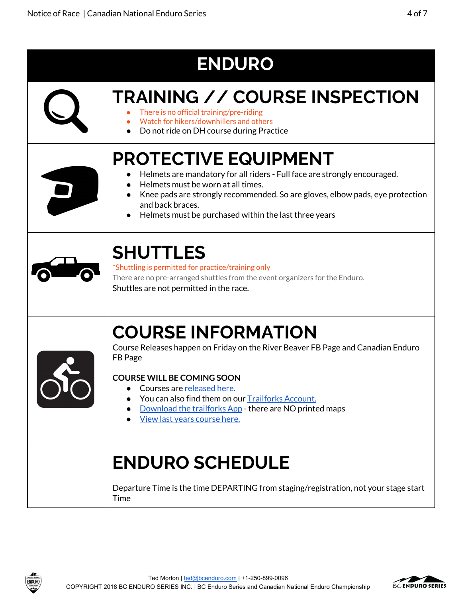| <b>ENDURO</b> |                                                                                                                                                                                                                                                                                                                                             |
|---------------|---------------------------------------------------------------------------------------------------------------------------------------------------------------------------------------------------------------------------------------------------------------------------------------------------------------------------------------------|
|               | <b>TRAINING // COURSE INSPECTION</b><br>There is no official training/pre-riding<br>Watch for hikers/downhillers and others<br>Do not ride on DH course during Practice                                                                                                                                                                     |
|               | <b>PROTECTIVE EQUIPMENT</b><br>Helmets are mandatory for all riders - Full face are strongly encouraged.<br>Helmets must be worn at all times.<br>Knee pads are strongly recommended. So are gloves, elbow pads, eye protection<br>and back braces.<br>Helmets must be purchased within the last three years                                |
|               | <b>SHUTTLES</b><br>*Shuttling is permitted for practice/training only<br>There are no pre-arranged shuttles from the event organizers for the Enduro.<br>Shuttles are not permitted in the race.                                                                                                                                            |
|               | <b>COURSE INFORMATION</b><br>Course Releases happen on Friday on the River Beaver FB Page and Canadian Enduro<br>FB Page<br><b>COURSE WILL BE COMING SOON</b><br>Courses are released here.<br>You can also find them on our Trailforks Account.<br>Download the trailforks App - there are NO printed maps<br>View last years course here. |
|               | <b>ENDURO SCHEDULE</b><br>Departure Time is the time DEPARTING from staging/registration, not your stage start<br>Time                                                                                                                                                                                                                      |



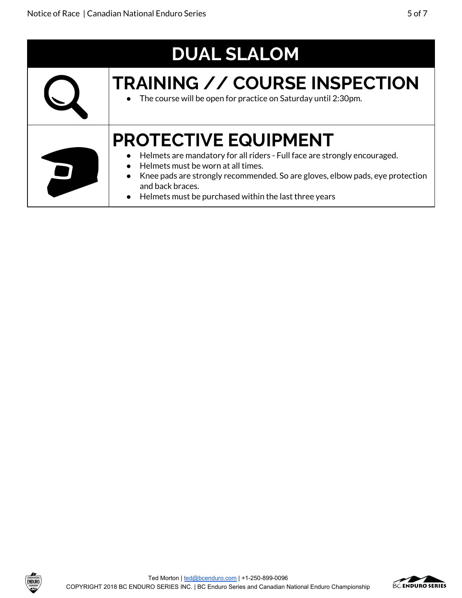| <b>DUAL SLALOM</b> |                                                                                                                                                                                                                                                                                                                |  |
|--------------------|----------------------------------------------------------------------------------------------------------------------------------------------------------------------------------------------------------------------------------------------------------------------------------------------------------------|--|
|                    | <b>TRAINING // COURSE INSPECTION</b><br>• The course will be open for practice on Saturday until 2:30pm.                                                                                                                                                                                                       |  |
|                    | <b>PROTECTIVE EQUIPMENT</b><br>Helmets are mandatory for all riders - Full face are strongly encouraged.<br>Helmets must be worn at all times.<br>Knee pads are strongly recommended. So are gloves, elbow pads, eye protection<br>and back braces.<br>• Helmets must be purchased within the last three years |  |

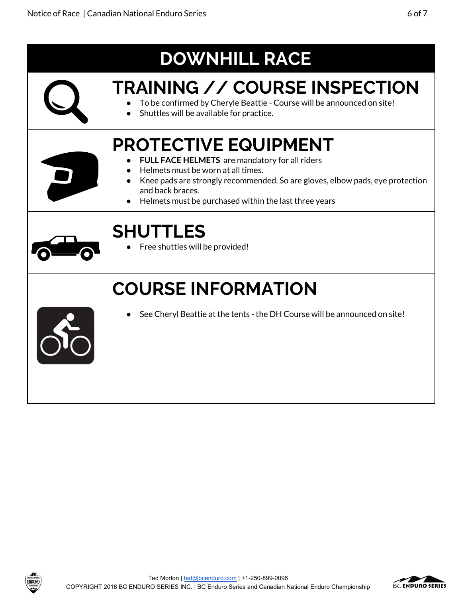| <b>DOWNHILL RACE</b>                                                                                                                                                                                                                                                              |
|-----------------------------------------------------------------------------------------------------------------------------------------------------------------------------------------------------------------------------------------------------------------------------------|
| <b>TRAINING // COURSE INSPECTION</b><br>To be confirmed by Cheryle Beattie - Course will be announced on site!<br>Shuttles will be available for practice.                                                                                                                        |
| <b>PROTECTIVE EQUIPMENT</b><br>FULL FACE HELMETS are mandatory for all riders<br>Helmets must be worn at all times.<br>Knee pads are strongly recommended. So are gloves, elbow pads, eye protection<br>and back braces.<br>Helmets must be purchased within the last three years |
| <b>SHUTTLES</b><br>Free shuttles will be provided!                                                                                                                                                                                                                                |
| <b>COURSE INFORMATION</b>                                                                                                                                                                                                                                                         |
| See Cheryl Beattie at the tents - the DH Course will be announced on site!                                                                                                                                                                                                        |